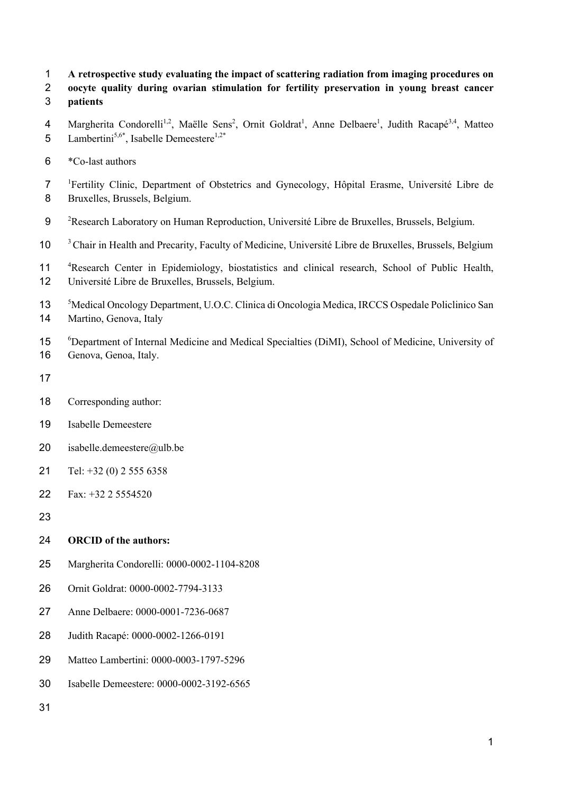- **A retrospective study evaluating the impact of scattering radiation from imaging procedures on**
- **oocyte quality during ovarian stimulation for fertility preservation in young breast cancer**
- **patients**
- 4 Margherita Condorelli<sup>1,2</sup>, Maëlle Sens<sup>2</sup>, Ornit Goldrat<sup>1</sup>, Anne Delbaere<sup>1</sup>, Judith Racapé<sup>3,4</sup>, Matteo 5 Lambertini<sup>5,6\*</sup>, Isabelle Demeestere<sup>1,2\*</sup>
- \*Co-last authors
- <sup>1</sup> Fertility Clinic, Department of Obstetrics and Gynecology, Hôpital Erasme, Université Libre de Bruxelles, Brussels, Belgium.
- 9 <sup>2</sup> Research Laboratory on Human Reproduction, Université Libre de Bruxelles, Brussels, Belgium.
- <sup>3</sup> Chair in Health and Precarity, Faculty of Medicine, Université Libre de Bruxelles, Brussels, Belgium
- 11 <sup>4</sup> Research Center in Epidemiology, biostatistics and clinical research, School of Public Health, Université Libre de Bruxelles, Brussels, Belgium.
- Medical Oncology Department, U.O.C. Clinica di Oncologia Medica, IRCCS Ospedale Policlinico San Martino, Genova, Italy
- <sup>6</sup> Department of Internal Medicine and Medical Specialties (DiMI), School of Medicine, University of Genova, Genoa, Italy.
- 
- Corresponding author:
- Isabelle Demeestere
- isabelle.demeestere@ulb.be
- Tel: +32 (0) 2 555 6358
- Fax: +32 2 5554520
- 

# **ORCID of the authors:**

- Margherita Condorelli: 0000-0002-1104-8208
- Ornit Goldrat: 0000-0002-7794-3133
- Anne Delbaere: 0000-0001-7236-0687
- Judith Racapé: 0000-0002-1266-0191
- Matteo Lambertini: 0000-0003-1797-5296
- Isabelle Demeestere: 0000-0002-3192-6565
-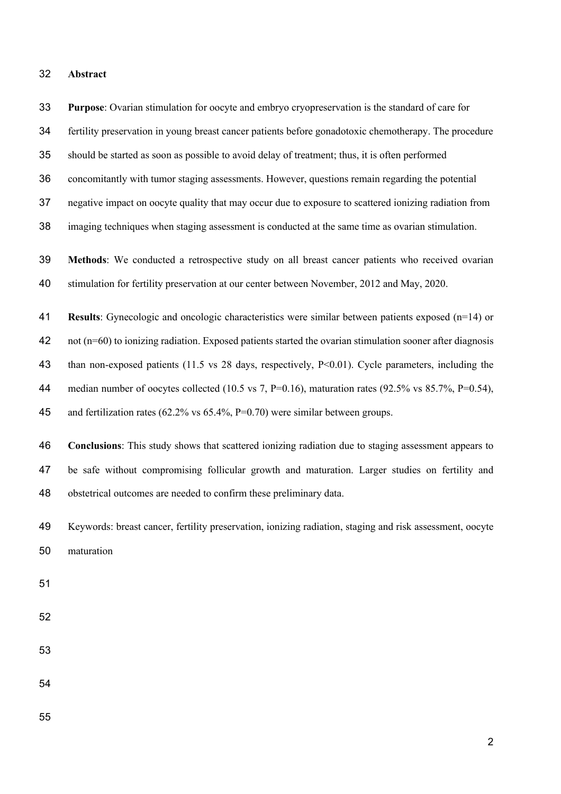#### **Abstract**

 fertility preservation in young breast cancer patients before gonadotoxic chemotherapy. The procedure should be started as soon as possible to avoid delay of treatment; thus, it is often performed concomitantly with tumor staging assessments. However, questions remain regarding the potential negative impact on oocyte quality that may occur due to exposure to scattered ionizing radiation from imaging techniques when staging assessment is conducted at the same time as ovarian stimulation. **Methods**: We conducted a retrospective study on all breast cancer patients who received ovarian stimulation for fertility preservation at our center between November, 2012 and May, 2020. **Results**: Gynecologic and oncologic characteristics were similar between patients exposed (n=14) or not (n=60) to ionizing radiation. Exposed patients started the ovarian stimulation sooner after diagnosis 43 than non-exposed patients (11.5 vs 28 days, respectively, P<0.01). Cycle parameters, including the 44 median number of oocytes collected (10.5 vs 7, P=0.16), maturation rates (92.5% vs 85.7%, P=0.54), and fertilization rates (62.2% vs 65.4%, P=0.70) were similar between groups. **Conclusions**: This study shows that scattered ionizing radiation due to staging assessment appears to be safe without compromising follicular growth and maturation. Larger studies on fertility and obstetrical outcomes are needed to confirm these preliminary data. Keywords: breast cancer, fertility preservation, ionizing radiation, staging and risk assessment, oocyte maturation 

**Purpose**: Ovarian stimulation for oocyte and embryo cryopreservation is the standard of care for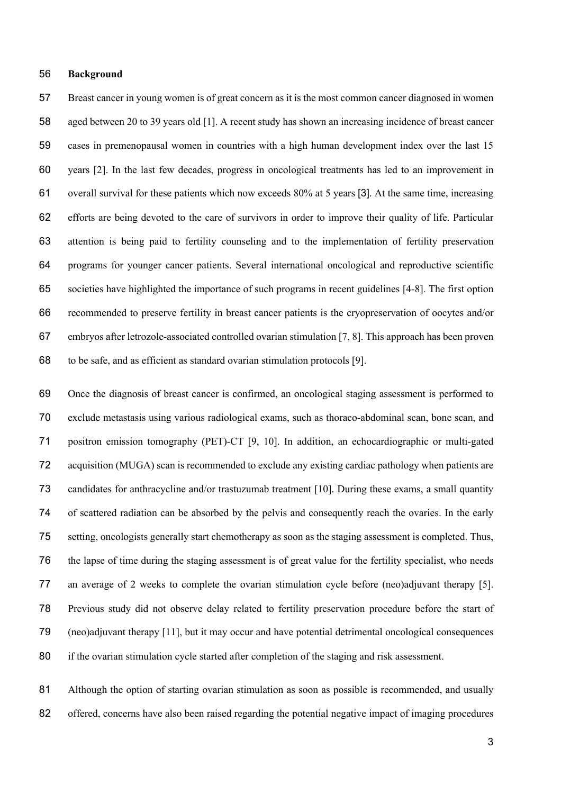#### **Background**

 Breast cancer in young women is of great concern as it is the most common cancer diagnosed in women aged between 20 to 39 years old [1]. A recent study has shown an increasing incidence of breast cancer cases in premenopausal women in countries with a high human development index over the last 15 years [2]. In the last few decades, progress in oncological treatments has led to an improvement in overall survival for these patients which now exceeds 80% at 5 years [3]. At the same time, increasing efforts are being devoted to the care of survivors in order to improve their quality of life. Particular attention is being paid to fertility counseling and to the implementation of fertility preservation programs for younger cancer patients. Several international oncological and reproductive scientific societies have highlighted the importance of such programs in recent guidelines [4-8]. The first option recommended to preserve fertility in breast cancer patients is the cryopreservation of oocytes and/or embryos after letrozole-associated controlled ovarian stimulation [7, 8]. This approach has been proven to be safe, and as efficient as standard ovarian stimulation protocols [9].

 Once the diagnosis of breast cancer is confirmed, an oncological staging assessment is performed to exclude metastasis using various radiological exams, such as thoraco-abdominal scan, bone scan, and positron emission tomography (PET)-CT [9, 10]. In addition, an echocardiographic or multi-gated acquisition (MUGA) scan is recommended to exclude any existing cardiac pathology when patients are candidates for anthracycline and/or trastuzumab treatment [10]. During these exams, a small quantity of scattered radiation can be absorbed by the pelvis and consequently reach the ovaries. In the early setting, oncologists generally start chemotherapy as soon as the staging assessment is completed. Thus, the lapse of time during the staging assessment is of great value for the fertility specialist, who needs an average of 2 weeks to complete the ovarian stimulation cycle before (neo)adjuvant therapy [5]. Previous study did not observe delay related to fertility preservation procedure before the start of (neo)adjuvant therapy [11], but it may occur and have potential detrimental oncological consequences if the ovarian stimulation cycle started after completion of the staging and risk assessment.

81 Although the option of starting ovarian stimulation as soon as possible is recommended, and usually 82 offered, concerns have also been raised regarding the potential negative impact of imaging procedures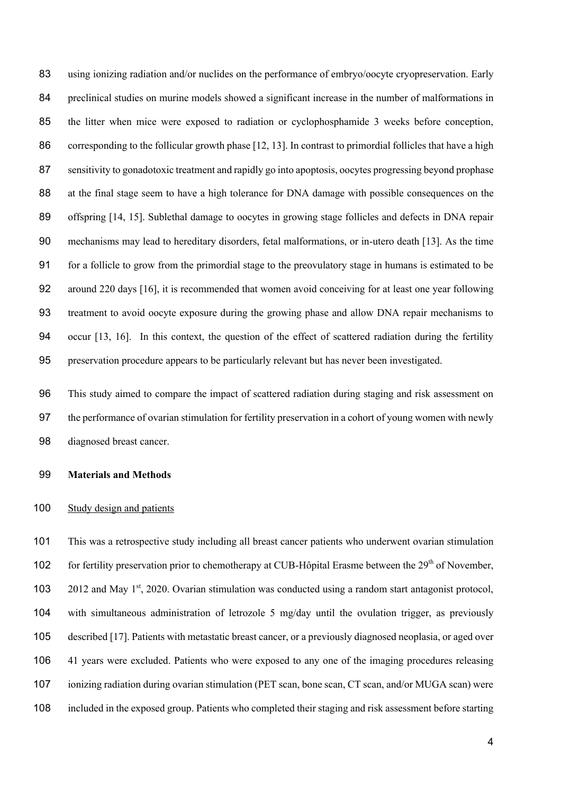using ionizing radiation and/or nuclides on the performance of embryo/oocyte cryopreservation. Early preclinical studies on murine models showed a significant increase in the number of malformations in the litter when mice were exposed to radiation or cyclophosphamide 3 weeks before conception, corresponding to the follicular growth phase [12, 13]. In contrast to primordial follicles that have a high sensitivity to gonadotoxic treatment and rapidly go into apoptosis, oocytes progressing beyond prophase at the final stage seem to have a high tolerance for DNA damage with possible consequences on the 89 offspring [14, 15]. Sublethal damage to oocytes in growing stage follicles and defects in DNA repair mechanisms may lead to hereditary disorders, fetal malformations, or in-utero death [13]. As the time for a follicle to grow from the primordial stage to the preovulatory stage in humans is estimated to be around 220 days [16], it is recommended that women avoid conceiving for at least one year following treatment to avoid oocyte exposure during the growing phase and allow DNA repair mechanisms to occur [13, 16]. In this context, the question of the effect of scattered radiation during the fertility preservation procedure appears to be particularly relevant but has never been investigated.

 This study aimed to compare the impact of scattered radiation during staging and risk assessment on the performance of ovarian stimulation for fertility preservation in a cohort of young women with newly diagnosed breast cancer.

#### **Materials and Methods**

#### Study design and patients

 This was a retrospective study including all breast cancer patients who underwent ovarian stimulation 102 for fertility preservation prior to chemotherapy at CUB-Hôpital Erasme between the  $29<sup>th</sup>$  of November,  $\,$  2012 and May 1<sup>st</sup>, 2020. Ovarian stimulation was conducted using a random start antagonist protocol, with simultaneous administration of letrozole 5 mg/day until the ovulation trigger, as previously described [17]. Patients with metastatic breast cancer, or a previously diagnosed neoplasia, or aged over 41 years were excluded. Patients who were exposed to any one of the imaging procedures releasing ionizing radiation during ovarian stimulation (PET scan, bone scan, CT scan, and/or MUGA scan) were included in the exposed group. Patients who completed their staging and risk assessment before starting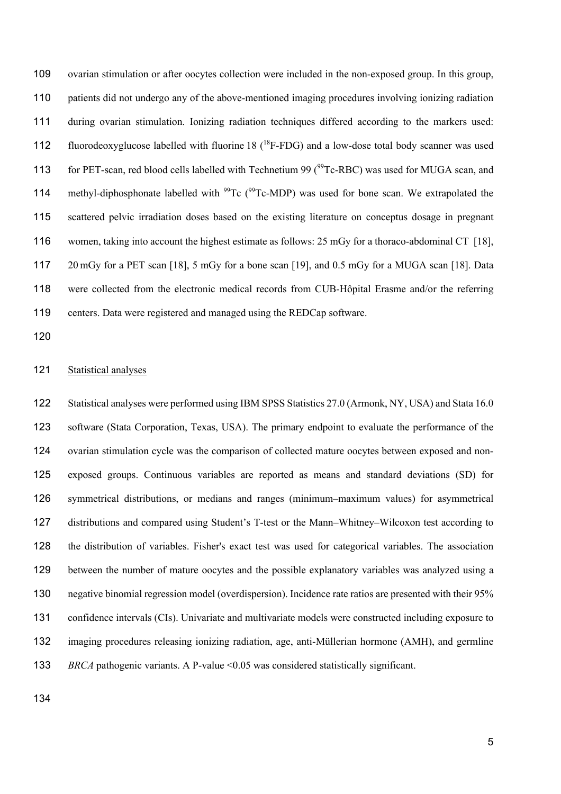ovarian stimulation or after oocytes collection were included in the non-exposed group. In this group, patients did not undergo any of the above-mentioned imaging procedures involving ionizing radiation during ovarian stimulation. Ionizing radiation techniques differed according to the markers used: 112 fluorodeoxyglucose labelled with fluorine  $18(^{18}F-FDG)$  and a low-dose total body scanner was used 113 for PET-scan, red blood cells labelled with Technetium 99 ( $^{99}$ Tc-RBC) was used for MUGA scan, and 114 methyl-diphosphonate labelled with  $^{99}$ Tc ( $^{99}$ Tc-MDP) was used for bone scan. We extrapolated the scattered pelvic irradiation doses based on the existing literature on conceptus dosage in pregnant women, taking into account the highest estimate as follows: 25 mGy for a thoraco-abdominal CT [18], 20 mGy for a PET scan [18], 5 mGy for a bone scan [19], and 0.5 mGy for a MUGA scan [18]. Data were collected from the electronic medical records from CUB-Hôpital Erasme and/or the referring centers. Data were registered and managed using the REDCap software.

### 121 Statistical analyses

 Statistical analyses were performed using IBM SPSS Statistics 27.0 (Armonk, NY, USA) and Stata 16.0 software (Stata Corporation, Texas, USA). The primary endpoint to evaluate the performance of the ovarian stimulation cycle was the comparison of collected mature oocytes between exposed and non- exposed groups. Continuous variables are reported as means and standard deviations (SD) for symmetrical distributions, or medians and ranges (minimum–maximum values) for asymmetrical distributions and compared using Student's T-test or the Mann–Whitney–Wilcoxon test according to the distribution of variables. Fisher's exact test was used for categorical variables. The association between the number of mature oocytes and the possible explanatory variables was analyzed using a negative binomial regression model (overdispersion). Incidence rate ratios are presented with their 95% confidence intervals (CIs). Univariate and multivariate models were constructed including exposure to imaging procedures releasing ionizing radiation, age, anti-Müllerian hormone (AMH), and germline *BRCA* pathogenic variants. A P-value <0.05 was considered statistically significant.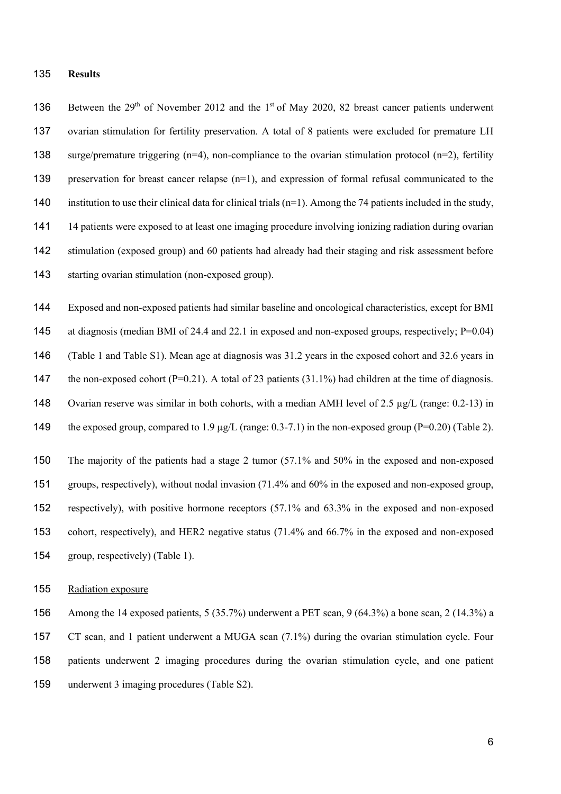#### **Results**

136 Between the  $29<sup>th</sup>$  of November 2012 and the 1<sup>st</sup> of May 2020, 82 breast cancer patients underwent ovarian stimulation for fertility preservation. A total of 8 patients were excluded for premature LH surge/premature triggering (n=4), non-compliance to the ovarian stimulation protocol (n=2), fertility preservation for breast cancer relapse (n=1), and expression of formal refusal communicated to the 140 institution to use their clinical data for clinical trials  $(n=1)$ . Among the 74 patients included in the study, 14 patients were exposed to at least one imaging procedure involving ionizing radiation during ovarian stimulation (exposed group) and 60 patients had already had their staging and risk assessment before starting ovarian stimulation (non-exposed group).

 Exposed and non-exposed patients had similar baseline and oncological characteristics, except for BMI 145 at diagnosis (median BMI of 24.4 and 22.1 in exposed and non-exposed groups, respectively; P=0.04) (Table 1 and Table S1). Mean age at diagnosis was 31.2 years in the exposed cohort and 32.6 years in 147 the non-exposed cohort  $(P=0.21)$ . A total of 23 patients (31.1%) had children at the time of diagnosis. Ovarian reserve was similar in both cohorts, with a median AMH level of 2.5 µg/L (range: 0.2-13) in 149 the exposed group, compared to 1.9 µg/L (range: 0.3-7.1) in the non-exposed group (P=0.20) (Table 2).

 The majority of the patients had a stage 2 tumor (57.1% and 50% in the exposed and non-exposed groups, respectively), without nodal invasion (71.4% and 60% in the exposed and non-exposed group, respectively), with positive hormone receptors (57.1% and 63.3% in the exposed and non-exposed cohort, respectively), and HER2 negative status (71.4% and 66.7% in the exposed and non-exposed group, respectively) (Table 1).

#### Radiation exposure

 Among the 14 exposed patients, 5 (35.7%) underwent a PET scan, 9 (64.3%) a bone scan, 2 (14.3%) a CT scan, and 1 patient underwent a MUGA scan (7.1%) during the ovarian stimulation cycle. Four patients underwent 2 imaging procedures during the ovarian stimulation cycle, and one patient underwent 3 imaging procedures (Table S2).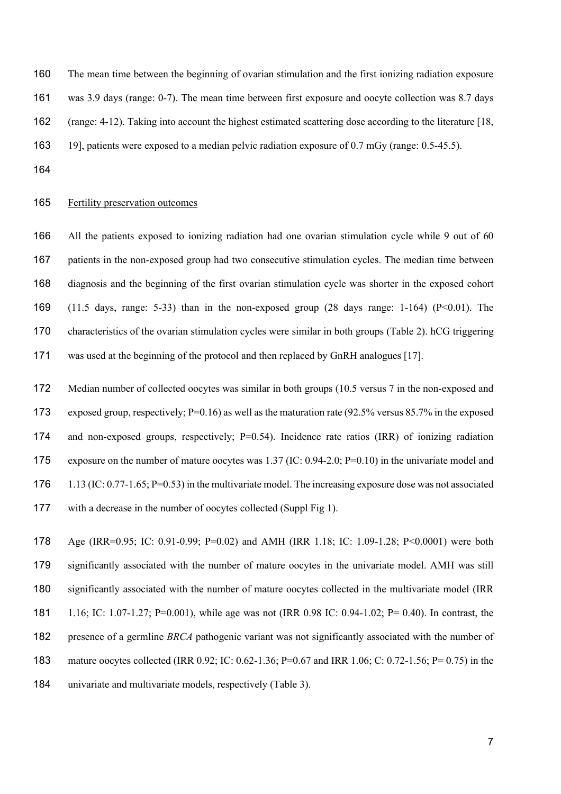The mean time between the beginning of ovarian stimulation and the first ionizing radiation exposure was 3.9 days (range: 0-7). The mean time between first exposure and oocyte collection was 8.7 days (range: 4-12). Taking into account the highest estimated scattering dose according to the literature [18, 19], patients were exposed to a median pelvic radiation exposure of 0.7 mGy (range: 0.5-45.5).

# Fertility preservation outcomes

 All the patients exposed to ionizing radiation had one ovarian stimulation cycle while 9 out of 60 patients in the non-exposed group had two consecutive stimulation cycles. The median time between diagnosis and the beginning of the first ovarian stimulation cycle was shorter in the exposed cohort (11.5 days, range: 5-33) than in the non-exposed group (28 days range: 1-164) (P<0.01). The characteristics of the ovarian stimulation cycles were similar in both groups (Table 2). hCG triggering was used at the beginning of the protocol and then replaced by GnRH analogues [17].

 Median number of collected oocytes was similar in both groups (10.5 versus 7 in the non-exposed and exposed group, respectively; P=0.16) as well as the maturation rate (92.5% versus 85.7% in the exposed 174 and non-exposed groups, respectively; P=0.54). Incidence rate ratios (IRR) of ionizing radiation exposure on the number of mature oocytes was 1.37 (IC: 0.94-2.0; P=0.10) in the univariate model and 176 1.13 (IC: 0.77-1.65; P=0.53) in the multivariate model. The increasing exposure dose was not associated with a decrease in the number of oocytes collected (Suppl Fig 1).

 Age (IRR=0.95; IC: 0.91-0.99; P=0.02) and AMH (IRR 1.18; IC: 1.09-1.28; P<0.0001) were both significantly associated with the number of mature oocytes in the univariate model. AMH was still significantly associated with the number of mature oocytes collected in the multivariate model (IRR 1.16; IC: 1.07-1.27; P=0.001), while age was not (IRR 0.98 IC: 0.94-1.02; P= 0.40). In contrast, the presence of a germline *BRCA* pathogenic variant was not significantly associated with the number of mature oocytes collected (IRR 0.92; IC: 0.62-1.36; P=0.67 and IRR 1.06; C: 0.72-1.56; P= 0.75) in the univariate and multivariate models, respectively (Table 3).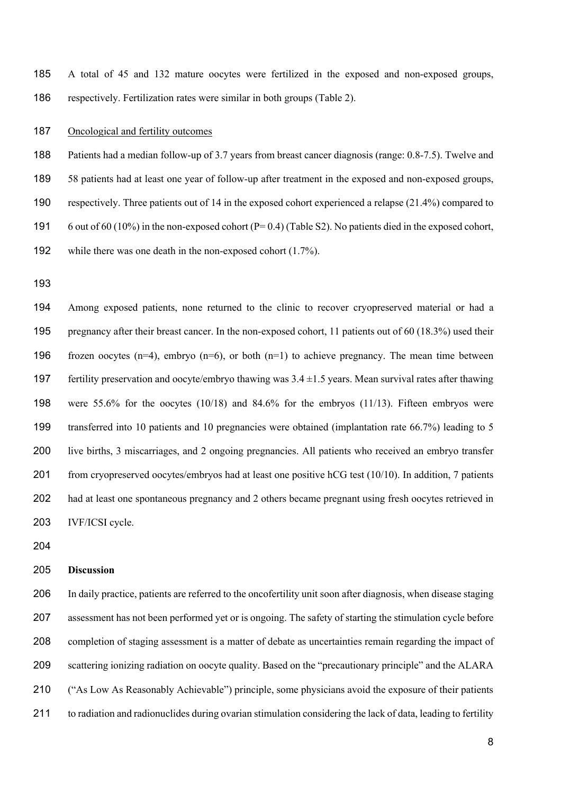A total of 45 and 132 mature oocytes were fertilized in the exposed and non-exposed groups, respectively. Fertilization rates were similar in both groups (Table 2).

## 187 Oncological and fertility outcomes

 Patients had a median follow-up of 3.7 years from breast cancer diagnosis (range: 0.8-7.5). Twelve and 58 patients had at least one year of follow-up after treatment in the exposed and non-exposed groups, respectively. Three patients out of 14 in the exposed cohort experienced a relapse (21.4%) compared to 6 out of 60 (10%) in the non-exposed cohort (P= 0.4) (Table S2). No patients died in the exposed cohort,

while there was one death in the non-exposed cohort (1.7%).

 Among exposed patients, none returned to the clinic to recover cryopreserved material or had a pregnancy after their breast cancer. In the non-exposed cohort, 11 patients out of 60 (18.3%) used their 196 frozen oocytes (n=4), embryo (n=6), or both (n=1) to achieve pregnancy. The mean time between 197 fertility preservation and oocyte/embryo thawing was  $3.4 \pm 1.5$  years. Mean survival rates after thawing were 55.6% for the oocytes (10/18) and 84.6% for the embryos (11/13). Fifteen embryos were transferred into 10 patients and 10 pregnancies were obtained (implantation rate 66.7%) leading to 5 live births, 3 miscarriages, and 2 ongoing pregnancies. All patients who received an embryo transfer 201 from cryopreserved oocytes/embryos had at least one positive hCG test (10/10). In addition, 7 patients had at least one spontaneous pregnancy and 2 others became pregnant using fresh oocytes retrieved in IVF/ICSI cycle.

#### **Discussion**

 In daily practice, patients are referred to the oncofertility unit soon after diagnosis, when disease staging assessment has not been performed yet or is ongoing. The safety of starting the stimulation cycle before completion of staging assessment is a matter of debate as uncertainties remain regarding the impact of scattering ionizing radiation on oocyte quality. Based on the "precautionary principle" and the ALARA ("As Low As Reasonably Achievable") principle, some physicians avoid the exposure of their patients to radiation and radionuclides during ovarian stimulation considering the lack of data, leading to fertility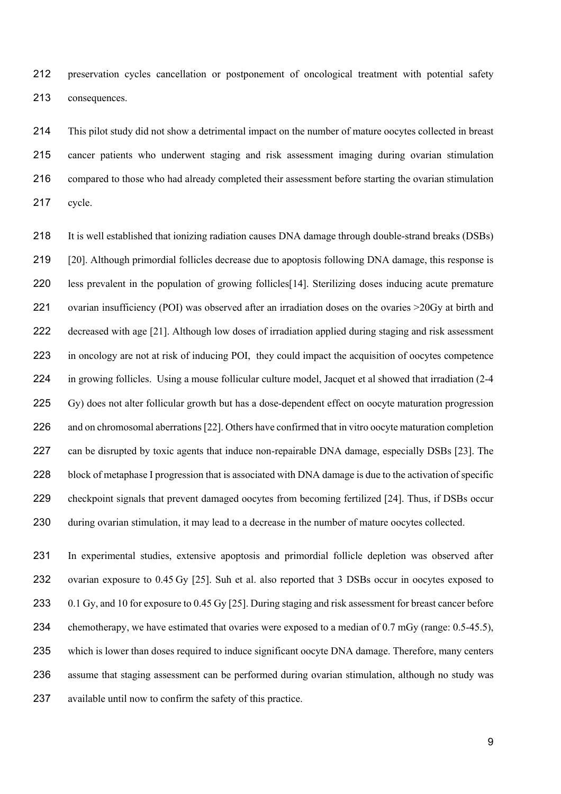preservation cycles cancellation or postponement of oncological treatment with potential safety consequences.

 This pilot study did not show a detrimental impact on the number of mature oocytes collected in breast cancer patients who underwent staging and risk assessment imaging during ovarian stimulation compared to those who had already completed their assessment before starting the ovarian stimulation cycle.

 It is well established that ionizing radiation causes DNA damage through double-strand breaks (DSBs) [20]. Although primordial follicles decrease due to apoptosis following DNA damage, this response is less prevalent in the population of growing follicles[14]. Sterilizing doses inducing acute premature 221 ovarian insufficiency (POI) was observed after an irradiation doses on the ovaries >20Gy at birth and decreased with age [21]. Although low doses of irradiation applied during staging and risk assessment in oncology are not at risk of inducing POI, they could impact the acquisition of oocytes competence 224 in growing follicles. Using a mouse follicular culture model, Jacquet et al showed that irradiation (2-4) Gy) does not alter follicular growth but has a dose-dependent effect on oocyte maturation progression 226 and on chromosomal aberrations [22]. Others have confirmed that in vitro oocyte maturation completion 227 can be disrupted by toxic agents that induce non-repairable DNA damage, especially DSBs [23]. The block of metaphase I progression that is associated with DNA damage is due to the activation of specific checkpoint signals that prevent damaged oocytes from becoming fertilized [24]. Thus, if DSBs occur 230 during ovarian stimulation, it may lead to a decrease in the number of mature oocytes collected.

 In experimental studies, extensive apoptosis and primordial follicle depletion was observed after ovarian exposure to 0.45 Gy [25]. Suh et al. also reported that 3 DSBs occur in oocytes exposed to 0.1 Gy, and 10 for exposure to 0.45 Gy [25]. During staging and risk assessment for breast cancer before 234 chemotherapy, we have estimated that ovaries were exposed to a median of 0.7 mGy (range: 0.5-45.5), which is lower than doses required to induce significant oocyte DNA damage. Therefore, many centers assume that staging assessment can be performed during ovarian stimulation, although no study was available until now to confirm the safety of this practice.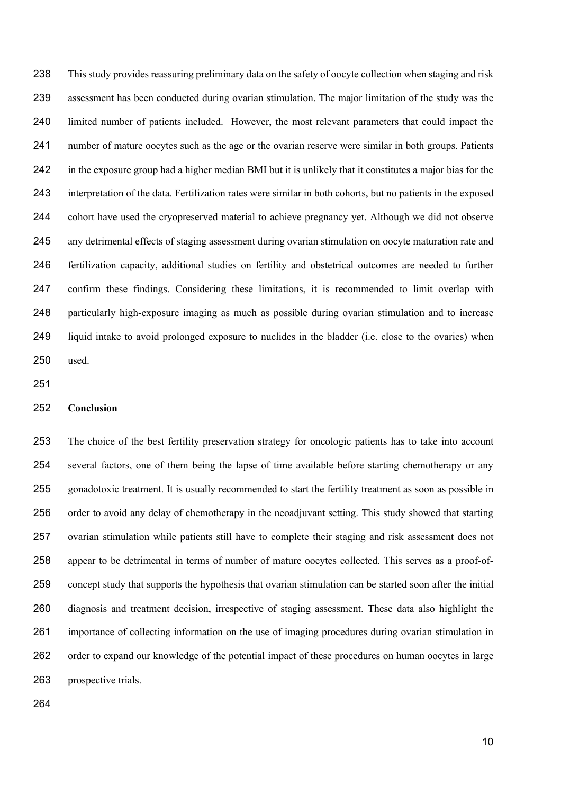This study provides reassuring preliminary data on the safety of oocyte collection when staging and risk assessment has been conducted during ovarian stimulation. The major limitation of the study was the limited number of patients included. However, the most relevant parameters that could impact the number of mature oocytes such as the age or the ovarian reserve were similar in both groups. Patients in the exposure group had a higher median BMI but it is unlikely that it constitutes a major bias for the interpretation of the data. Fertilization rates were similar in both cohorts, but no patients in the exposed cohort have used the cryopreserved material to achieve pregnancy yet. Although we did not observe any detrimental effects of staging assessment during ovarian stimulation on oocyte maturation rate and fertilization capacity, additional studies on fertility and obstetrical outcomes are needed to further confirm these findings. Considering these limitations, it is recommended to limit overlap with particularly high-exposure imaging as much as possible during ovarian stimulation and to increase liquid intake to avoid prolonged exposure to nuclides in the bladder (i.e. close to the ovaries) when used.

#### **Conclusion**

 The choice of the best fertility preservation strategy for oncologic patients has to take into account several factors, one of them being the lapse of time available before starting chemotherapy or any gonadotoxic treatment. It is usually recommended to start the fertility treatment as soon as possible in order to avoid any delay of chemotherapy in the neoadjuvant setting. This study showed that starting ovarian stimulation while patients still have to complete their staging and risk assessment does not appear to be detrimental in terms of number of mature oocytes collected. This serves as a proof-of- concept study that supports the hypothesis that ovarian stimulation can be started soon after the initial diagnosis and treatment decision, irrespective of staging assessment. These data also highlight the importance of collecting information on the use of imaging procedures during ovarian stimulation in order to expand our knowledge of the potential impact of these procedures on human oocytes in large prospective trials.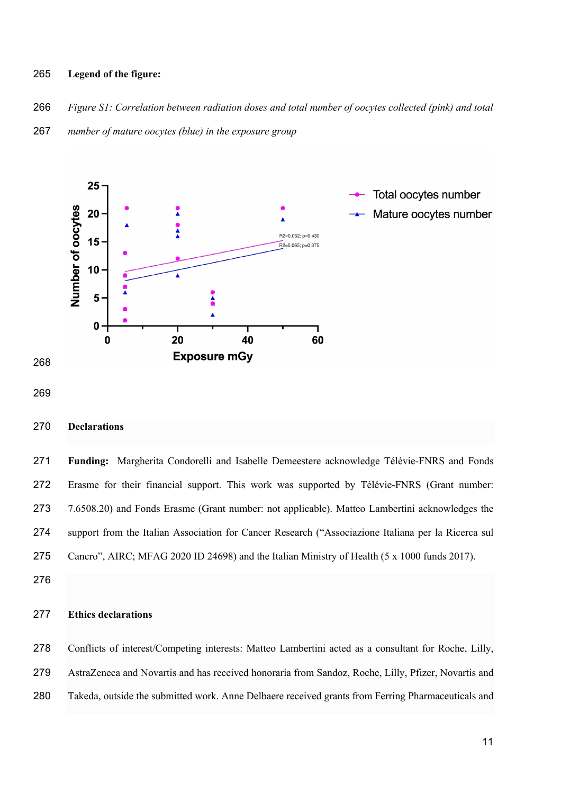#### **Legend of the figure:**

- *Figure S1: Correlation between radiation doses and total number of oocytes collected (pink) and total*
- *number of mature oocytes (blue) in the exposure group*



## **Declarations**

 **Funding:** Margherita Condorelli and Isabelle Demeestere acknowledge Télévie-FNRS and Fonds Erasme for their financial support. This work was supported by Télévie-FNRS (Grant number: 7.6508.20) and Fonds Erasme (Grant number: not applicable). Matteo Lambertini acknowledges the support from the Italian Association for Cancer Research ("Associazione Italiana per la Ricerca sul Cancro", AIRC; MFAG 2020 ID 24698) and the Italian Ministry of Health (5 x 1000 funds 2017).

# **Ethics declarations**

 Conflicts of interest/Competing interests: Matteo Lambertini acted as a consultant for Roche, Lilly, AstraZeneca and Novartis and has received honoraria from Sandoz, Roche, Lilly, Pfizer, Novartis and Takeda, outside the submitted work. Anne Delbaere received grants from Ferring Pharmaceuticals and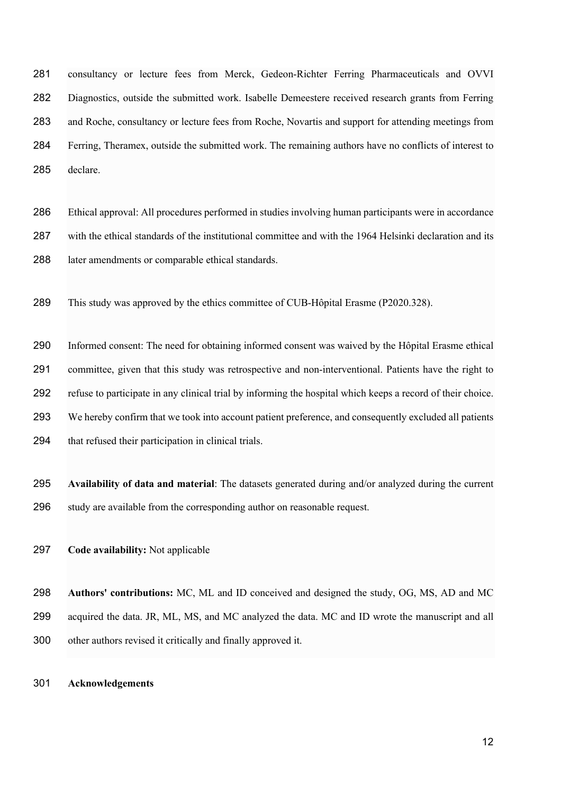consultancy or lecture fees from Merck, Gedeon-Richter Ferring Pharmaceuticals and OVVI Diagnostics, outside the submitted work. Isabelle Demeestere received research grants from Ferring and Roche, consultancy or lecture fees from Roche, Novartis and support for attending meetings from Ferring, Theramex, outside the submitted work. The remaining authors have no conflicts of interest to declare.

 Ethical approval: All procedures performed in studies involving human participants were in accordance with the ethical standards of the institutional committee and with the 1964 Helsinki declaration and its later amendments or comparable ethical standards.

This study was approved by the ethics committee of CUB-Hôpital Erasme (P2020.328).

 Informed consent: The need for obtaining informed consent was waived by the Hôpital Erasme ethical committee, given that this study was retrospective and non-interventional. Patients have the right to refuse to participate in any clinical trial by informing the hospital which keeps a record of their choice. We hereby confirm that we took into account patient preference, and consequently excluded all patients that refused their participation in clinical trials.

 **Availability of data and material**: The datasets generated during and/or analyzed during the current study are available from the corresponding author on reasonable request.

**Code availability:** Not applicable

 **Authors' contributions:** MC, ML and ID conceived and designed the study, OG, MS, AD and MC acquired the data. JR, ML, MS, and MC analyzed the data. MC and ID wrote the manuscript and all other authors revised it critically and finally approved it.

#### **Acknowledgements**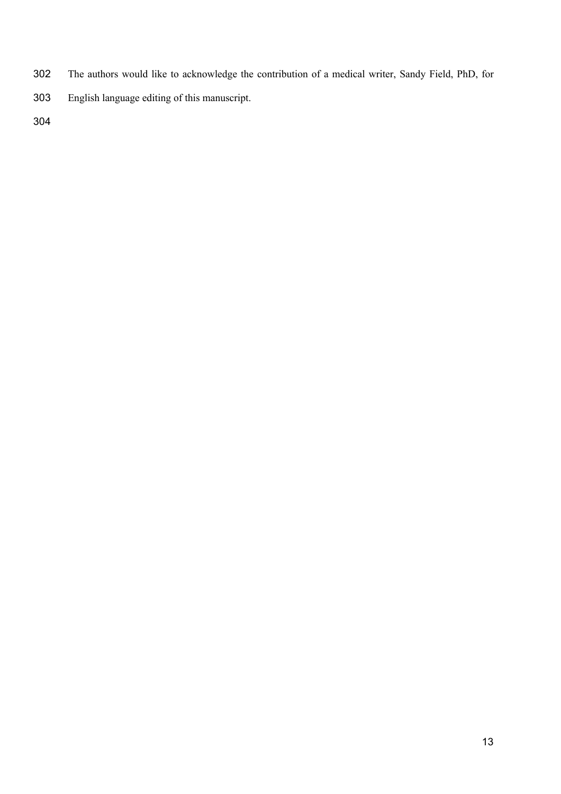- The authors would like to acknowledge the contribution of a medical writer, Sandy Field, PhD, for
- English language editing of this manuscript.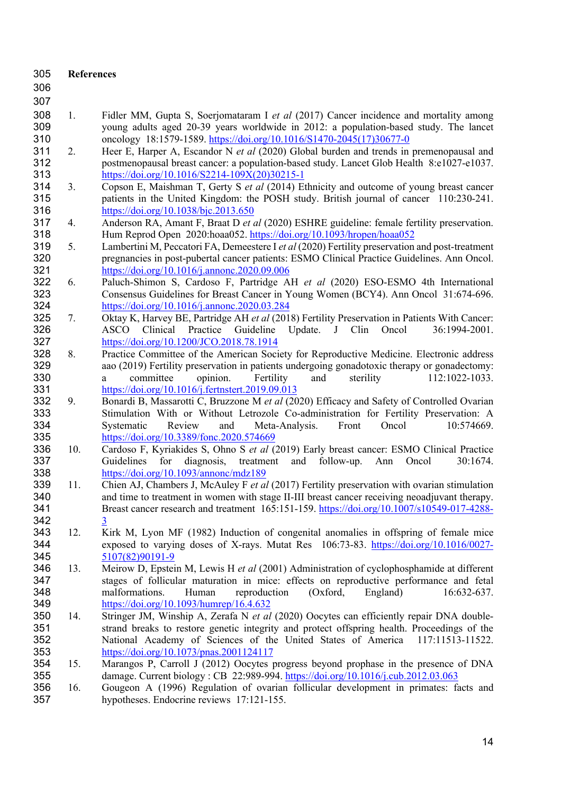| 305        | <b>References</b> |                                                                                                                                       |
|------------|-------------------|---------------------------------------------------------------------------------------------------------------------------------------|
| 306        |                   |                                                                                                                                       |
| 307        |                   |                                                                                                                                       |
| 308        | 1.                | Fidler MM, Gupta S, Soerjomataram I et al (2017) Cancer incidence and mortality among                                                 |
| 309        |                   | young adults aged 20-39 years worldwide in 2012: a population-based study. The lancet                                                 |
| 310        |                   | oncology 18:1579-1589. https://doi.org/10.1016/S1470-2045(17)30677-0                                                                  |
| 311        | 2.                | Heer E, Harper A, Escandor N et al (2020) Global burden and trends in premenopausal and                                               |
| 312        |                   | postmenopausal breast cancer: a population-based study. Lancet Glob Health 8:e1027-e1037.                                             |
| 313        |                   | https://doi.org/10.1016/S2214-109X(20)30215-1                                                                                         |
| 314        | 3.                | Copson E, Maishman T, Gerty S et al (2014) Ethnicity and outcome of young breast cancer                                               |
| 315        |                   | patients in the United Kingdom: the POSH study. British journal of cancer 110:230-241.                                                |
| 316        |                   | https://doi.org/10.1038/bjc.2013.650                                                                                                  |
| 317        | 4.                | Anderson RA, Amant F, Braat D et al (2020) ESHRE guideline: female fertility preservation.                                            |
| 318        |                   | Hum Reprod Open 2020:hoaa052. https://doi.org/10.1093/hropen/hoaa052                                                                  |
| 319        | 5.                | Lambertini M, Peccatori FA, Demeestere I et al (2020) Fertility preservation and post-treatment                                       |
| 320        |                   | pregnancies in post-pubertal cancer patients: ESMO Clinical Practice Guidelines. Ann Oncol.                                           |
| 321        |                   | https://doi.org/10.1016/j.annonc.2020.09.006                                                                                          |
| 322        | 6.                | Paluch-Shimon S, Cardoso F, Partridge AH et al (2020) ESO-ESMO 4th International                                                      |
| 323        |                   | Consensus Guidelines for Breast Cancer in Young Women (BCY4). Ann Oncol 31:674-696.                                                   |
| 324        |                   | https://doi.org/10.1016/j.annonc.2020.03.284                                                                                          |
| 325        | 7.                | Oktay K, Harvey BE, Partridge AH et al (2018) Fertility Preservation in Patients With Cancer:                                         |
| 326        |                   | Update.<br>J<br>Clin<br>Oncol<br><b>ASCO</b><br>Clinical<br>Practice<br>Guideline<br>36:1994-2001.                                    |
| 327        |                   | https://doi.org/10.1200/JCO.2018.78.1914                                                                                              |
| 328        | 8.                | Practice Committee of the American Society for Reproductive Medicine. Electronic address                                              |
| 329        |                   | aao (2019) Fertility preservation in patients undergoing gonadotoxic therapy or gonadectomy:                                          |
| 330        |                   | committee<br>112:1022-1033.<br>opinion.<br>Fertility<br>and<br>sterility<br>a                                                         |
| 331        |                   | https://doi.org/10.1016/j.fertnstert.2019.09.013                                                                                      |
| 332        | 9.                | Bonardi B, Massarotti C, Bruzzone M et al (2020) Efficacy and Safety of Controlled Ovarian                                            |
| 333        |                   | Stimulation With or Without Letrozole Co-administration for Fertility Preservation: A                                                 |
| 334        |                   | Review<br>Front<br>Systematic<br>and<br>Meta-Analysis.<br>Oncol<br>10:574669.                                                         |
| 335        |                   | https://doi.org/10.3389/fonc.2020.574669                                                                                              |
| 336        | 10.               | Cardoso F, Kyriakides S, Ohno S et al (2019) Early breast cancer: ESMO Clinical Practice                                              |
| 337<br>338 |                   | Guidelines<br>for<br>diagnosis,<br>and<br>follow-up.<br>Oncol<br>treatment<br>Ann<br>30:1674.                                         |
| 339        | 11.               | https://doi.org/10.1093/annonc/mdz189<br>Chien AJ, Chambers J, McAuley F et al (2017) Fertility preservation with ovarian stimulation |
| 340        |                   | and time to treatment in women with stage II-III breast cancer receiving neoadjuvant therapy.                                         |
| 341        |                   | Breast cancer research and treatment 165:151-159. https://doi.org/10.1007/s10549-017-4288-                                            |
| 342        |                   | 3                                                                                                                                     |
| 343        | 12.               | Kirk M, Lyon MF (1982) Induction of congenital anomalies in offspring of female mice                                                  |
| 344        |                   | exposed to varying doses of X-rays. Mutat Res 106:73-83. https://doi.org/10.1016/0027-                                                |
| 345        |                   | 5107(82)90191-9                                                                                                                       |
| 346        | 13.               | Meirow D, Epstein M, Lewis H et al (2001) Administration of cyclophosphamide at different                                             |
| 347        |                   | stages of follicular maturation in mice: effects on reproductive performance and fetal                                                |
| 348        |                   | malformations.<br>Human<br>reproduction<br>(Oxford,<br>England)<br>16:632-637.                                                        |
| 349        |                   | https://doi.org/10.1093/humrep/16.4.632                                                                                               |
| 350        | 14.               | Stringer JM, Winship A, Zerafa N et al (2020) Oocytes can efficiently repair DNA double-                                              |
| 351        |                   | strand breaks to restore genetic integrity and protect offspring health. Proceedings of the                                           |
| 352        |                   | National Academy of Sciences of the United States of America 117:11513-11522.                                                         |
| 353        |                   | $\frac{https://doi.org/10.1073/pnas.2001124117}{https://doi.org/10.1073/pnas.2001124117}$                                             |
| 354        | 15.               | Marangos P, Carroll J (2012) Oocytes progress beyond prophase in the presence of DNA                                                  |
| 355        |                   | damage. Current biology: CB 22:989-994. https://doi.org/10.1016/j.cub.2012.03.063                                                     |
| 356        | 16.               | Gougeon A (1996) Regulation of ovarian follicular development in primates: facts and                                                  |
| 357        |                   | hypotheses. Endocrine reviews 17:121-155.                                                                                             |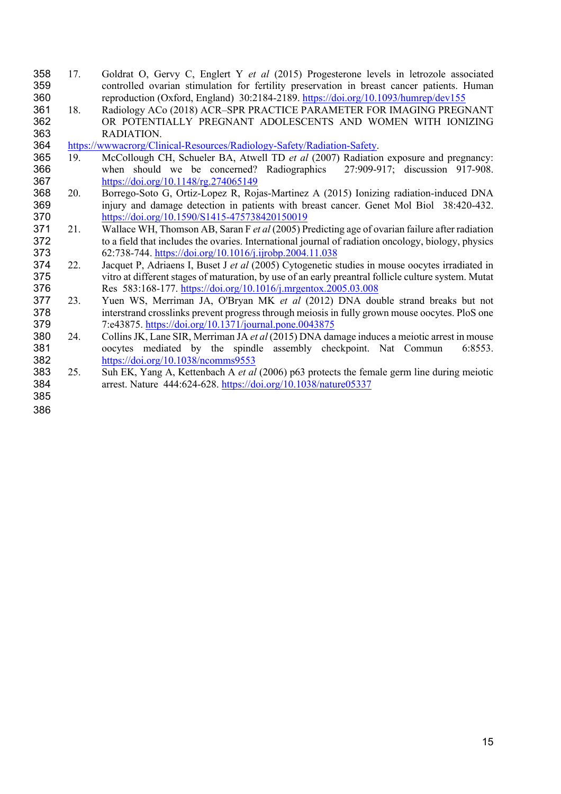- 17. Goldrat O, Gervy C, Englert Y *et al* (2015) Progesterone levels in letrozole associated controlled ovarian stimulation for fertility preservation in breast cancer patients. Human reproduction (Oxford, England) 30:2184-2189. https://doi.org/10.1093/humrep/dev155
- 18. Radiology ACo (2018) ACR–SPR PRACTICE PARAMETER FOR IMAGING PREGNANT OR POTENTIALLY PREGNANT ADOLESCENTS AND WOMEN WITH IONIZING RADIATION.
- https://wwwacrorg/Clinical-Resources/Radiology-Safety/Radiation-Safety.
- 19. McCollough CH, Schueler BA, Atwell TD *et al* (2007) Radiation exposure and pregnancy: when should we be concerned? Radiographics 27:909-917; discussion 917-908. https://doi.org/10.1148/rg.274065149
- 20. Borrego-Soto G, Ortiz-Lopez R, Rojas-Martinez A (2015) Ionizing radiation-induced DNA injury and damage detection in patients with breast cancer. Genet Mol Biol 38:420-432. https://doi.org/10.1590/S1415-475738420150019
- 21. Wallace WH, Thomson AB, Saran F *et al* (2005) Predicting age of ovarian failure after radiation to a field that includes the ovaries. International journal of radiation oncology, biology, physics 373 62:738-744. https://doi.org/10.1016/j.ijrobp.2004.11.038<br>374 22. Jacquet P, Adriaens I, Buset J *et al* (2005) Cytogenetic s
- 22. Jacquet P, Adriaens I, Buset J *et al* (2005) Cytogenetic studies in mouse oocytes irradiated in vitro at different stages of maturation, by use of an early preantral follicle culture system. Mutat Res 583:168-177. https://doi.org/10.1016/j.mrgentox.2005.03.008
- 23. Yuen WS, Merriman JA, O'Bryan MK *et al* (2012) DNA double strand breaks but not interstrand crosslinks prevent progress through meiosis in fully grown mouse oocytes. PloS one 7:e43875. https://doi.org/10.1371/journal.pone.0043875
- 24. Collins JK, Lane SIR, Merriman JA *et al* (2015) DNA damage induces a meiotic arrest in mouse oocytes mediated by the spindle assembly checkpoint. Nat Commun 6:8553. https://doi.org/10.1038/ncomms9553
- 25. Suh EK, Yang A, Kettenbach A *et al* (2006) p63 protects the female germ line during meiotic arrest. Nature 444:624-628. https://doi.org/10.1038/nature05337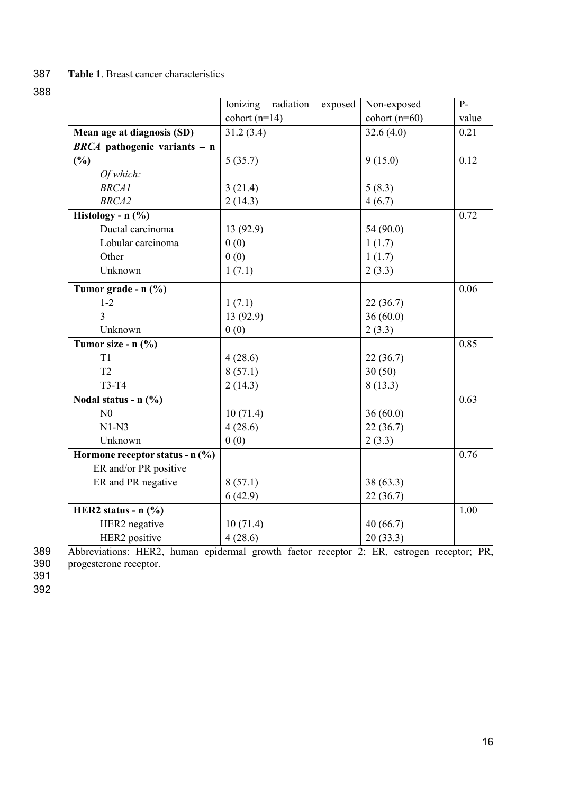# 387 **Table 1**. Breast cancer characteristics

# 388

|                                           | radiation<br>Ionizing<br>exposed | Non-exposed     | $P-$  |
|-------------------------------------------|----------------------------------|-----------------|-------|
|                                           | cohort $(n=14)$                  | cohort $(n=60)$ | value |
| Mean age at diagnosis (SD)                | 31.2(3.4)                        | 32.6(4.0)       | 0.21  |
| $\overline{BRCA}$ pathogenic variants – n |                                  |                 |       |
| (%)                                       | 5(35.7)                          | 9(15.0)         | 0.12  |
| Of which:                                 |                                  |                 |       |
| <b>BRCA1</b>                              | 3(21.4)                          | 5(8.3)          |       |
| <b>BRCA2</b>                              | 2(14.3)                          | 4(6.7)          |       |
| Histology - $n$ (%)                       |                                  |                 | 0.72  |
| Ductal carcinoma                          | 13 (92.9)                        | 54 (90.0)       |       |
| Lobular carcinoma                         | 0(0)                             | 1(1.7)          |       |
| Other                                     | 0(0)                             | 1(1.7)          |       |
| Unknown                                   | 1(7.1)                           | 2(3.3)          |       |
| Tumor grade - n (%)                       |                                  |                 | 0.06  |
| $1 - 2$                                   | 1(7.1)                           | 22(36.7)        |       |
| 3                                         | 13 (92.9)                        | 36(60.0)        |       |
| Unknown                                   | 0(0)                             | 2(3.3)          |       |
| Tumor size - n (%)                        |                                  |                 | 0.85  |
| T <sub>1</sub>                            | 4(28.6)                          | 22(36.7)        |       |
| T <sub>2</sub>                            | 8(57.1)                          | 30(50)          |       |
| T3-T4                                     | 2(14.3)                          | 8(13.3)         |       |
| Nodal status - $n$ (%)                    |                                  |                 | 0.63  |
| N <sub>0</sub>                            | 10(71.4)                         | 36(60.0)        |       |
| $N1-N3$                                   | 4(28.6)                          | 22(36.7)        |       |
| Unknown                                   | 0(0)                             | 2(3.3)          |       |
| Hormone receptor status - $n$ (%)         |                                  |                 | 0.76  |
| ER and/or PR positive                     |                                  |                 |       |
| ER and PR negative                        | 8(57.1)                          | 38 (63.3)       |       |
|                                           | 6(42.9)                          | 22(36.7)        |       |
| HER2 status - $n$ $%$                     |                                  |                 | 1.00  |
| HER2 negative                             | 10(71.4)                         | 40(66.7)        |       |
| HER2 positive                             | 4(28.6)                          | 20(33.3)        |       |

389 Abbreviations: HER2, human epidermal growth factor receptor 2; ER, estrogen receptor; PR, progesterone receptor. 390<br>391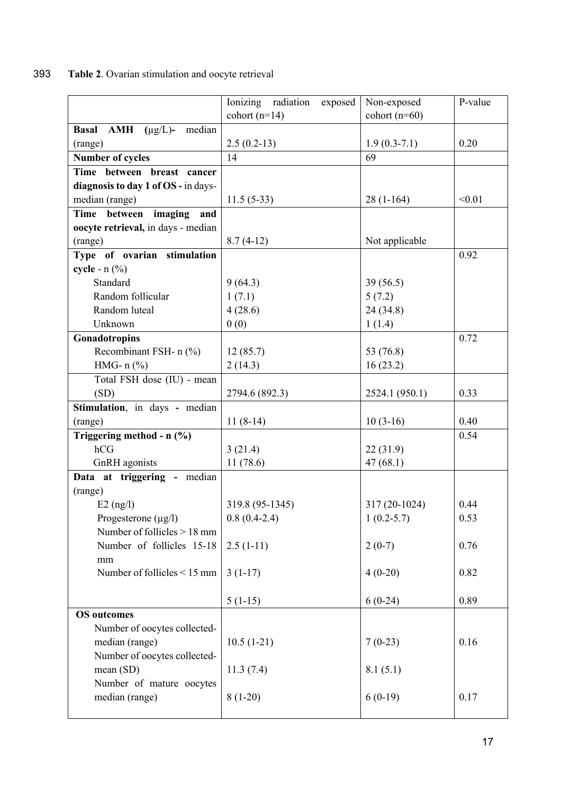# 393 **Table 2**. Ovarian stimulation and oocyte retrieval

|                                                       | Ionizing radiation<br>exposed | Non-exposed     | P-value |
|-------------------------------------------------------|-------------------------------|-----------------|---------|
|                                                       | cohort $(n=14)$               | cohort $(n=60)$ |         |
| <b>AMH</b><br><b>Basal</b><br>$(\mu g/L)$ -<br>median |                               |                 |         |
| (range)                                               | $2.5(0.2-13)$                 | $1.9(0.3-7.1)$  | 0.20    |
| <b>Number of cycles</b>                               | 14                            | 69              |         |
| Time between breast cancer                            |                               |                 |         |
| diagnosis to day 1 of OS - in days-                   |                               |                 |         |
| median (range)                                        | $11.5(5-33)$                  | $28(1-164)$     | < 0.01  |
| Time between imaging<br>and                           |                               |                 |         |
| oocyte retrieval, in days - median                    |                               |                 |         |
| (range)                                               | $8.7(4-12)$                   | Not applicable  |         |
| Type of ovarian stimulation                           |                               |                 | 0.92    |
| cycle - $n$ (%)                                       |                               |                 |         |
| Standard                                              | 9(64.3)                       | 39(56.5)        |         |
| Random follicular                                     | 1(7.1)                        | 5(7.2)          |         |
| Random luteal                                         | 4(28.6)                       | 24 (34.8)       |         |
| Unknown                                               | 0(0)                          | 1(1.4)          |         |
| Gonadotropins                                         |                               |                 | 0.72    |
| Recombinant FSH- n (%)                                | 12(85.7)                      | 53 (76.8)       |         |
| HMG- $n$ (%)                                          | 2(14.3)                       | 16(23.2)        |         |
| Total FSH dose (IU) - mean                            |                               |                 |         |
| (SD)                                                  | 2794.6 (892.3)                | 2524.1 (950.1)  | 0.33    |
| Stimulation, in days - median                         |                               |                 |         |
| (range)                                               | $11(8-14)$                    | $10(3-16)$      | 0.40    |
| Triggering method - n (%)                             |                               |                 | 0.54    |
| hCG                                                   | 3(21.4)                       | 22(31.9)        |         |
| GnRH agonists                                         | 11(78.6)                      | 47(68.1)        |         |
| Data at triggering - median                           |                               |                 |         |
| (range)                                               |                               |                 |         |
| $E2$ (ng/l)                                           | 319.8 (95-1345)               | 317 (20-1024)   | 0.44    |
| Progesterone (µg/l)                                   | $0.8(0.4-2.4)$                | $1(0.2-5.7)$    | 0.53    |
| Number of follicles > 18 mm                           |                               |                 |         |
| Number of follicles 15-18                             | $2.5(1-11)$                   | $2(0-7)$        | 0.76    |
| mm                                                    |                               |                 |         |
| Number of follicles < 15 mm                           | $3(1-17)$                     | $4(0-20)$       | 0.82    |
|                                                       | $5(1-15)$                     | $6(0-24)$       | 0.89    |
| <b>OS</b> outcomes                                    |                               |                 |         |
| Number of oocytes collected-                          |                               |                 |         |
| median (range)                                        | $10.5(1-21)$                  | $7(0-23)$       | 0.16    |
| Number of oocytes collected-                          |                               |                 |         |
| mean (SD)                                             | 11.3(7.4)                     | 8.1(5.1)        |         |
| Number of mature oocytes                              |                               |                 |         |
| median (range)                                        | $8(1-20)$                     | $6(0-19)$       | 0.17    |
|                                                       |                               |                 |         |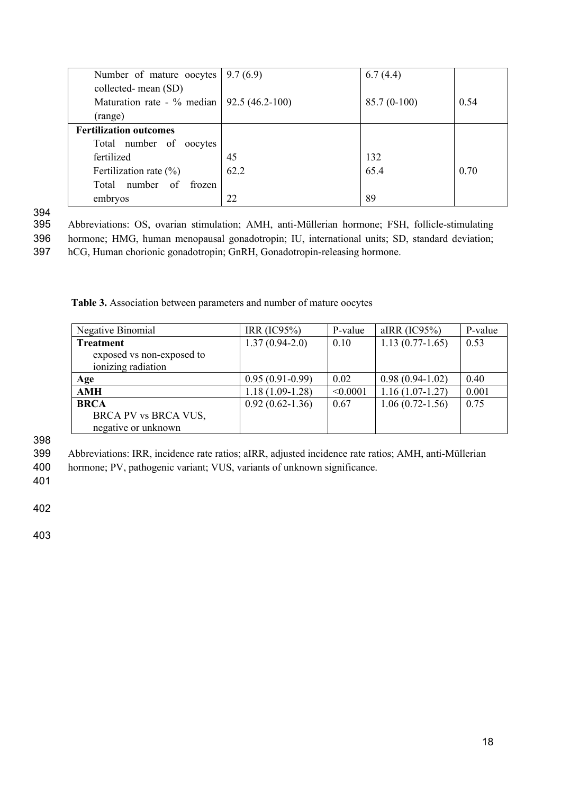| Number of mature oocytes $\vert 9.7(6.9) \vert$ |      | 6.7(4.4)      |      |
|-------------------------------------------------|------|---------------|------|
| collected-mean (SD)                             |      |               |      |
| Maturation rate - % median   $92.5(46.2 - 100)$ |      | $85.7(0-100)$ | 0.54 |
| (range)                                         |      |               |      |
| <b>Fertilization outcomes</b>                   |      |               |      |
| Total number of oocytes                         |      |               |      |
| fertilized                                      | 45   | 132           |      |
| Fertilization rate (%)                          | 62.2 | 65.4          | 0.70 |
| Total number of<br>frozen                       |      |               |      |
| embryos                                         | 22   | 89            |      |

395 Abbreviations: OS, ovarian stimulation; AMH, anti-Müllerian hormone; FSH, follicle-stimulating 396 hormone; HMG, human menopausal gonadotropin; IU, international units; SD, standard deviation;

397 hCG, Human chorionic gonadotropin; GnRH, Gonadotropin-releasing hormone.

**Table 3.** Association between parameters and number of mature oocytes

| Negative Binomial         | IRR $(IC95%)$       | P-value  | aIRR $(IC95%)$      | P-value |
|---------------------------|---------------------|----------|---------------------|---------|
| <b>Treatment</b>          | $1.37(0.94-2.0)$    | 0.10     | $1.13(0.77-1.65)$   | 0.53    |
| exposed vs non-exposed to |                     |          |                     |         |
| ionizing radiation        |                     |          |                     |         |
| Age                       | $0.95(0.91-0.99)$   | 0.02     | $0.98(0.94-1.02)$   | 0.40    |
| <b>AMH</b>                | $1.18(1.09-1.28)$   | < 0.0001 | $1.16(1.07-1.27)$   | 0.001   |
| <b>BRCA</b>               | $0.92(0.62 - 1.36)$ | 0.67     | $1.06(0.72 - 1.56)$ | 0.75    |
| BRCA PV vs BRCA VUS,      |                     |          |                     |         |
| negative or unknown       |                     |          |                     |         |

398

399 Abbreviations: IRR, incidence rate ratios; aIRR, adjusted incidence rate ratios; AMH, anti-Müllerian

400 hormone; PV, pathogenic variant; VUS, variants of unknown significance.

401

402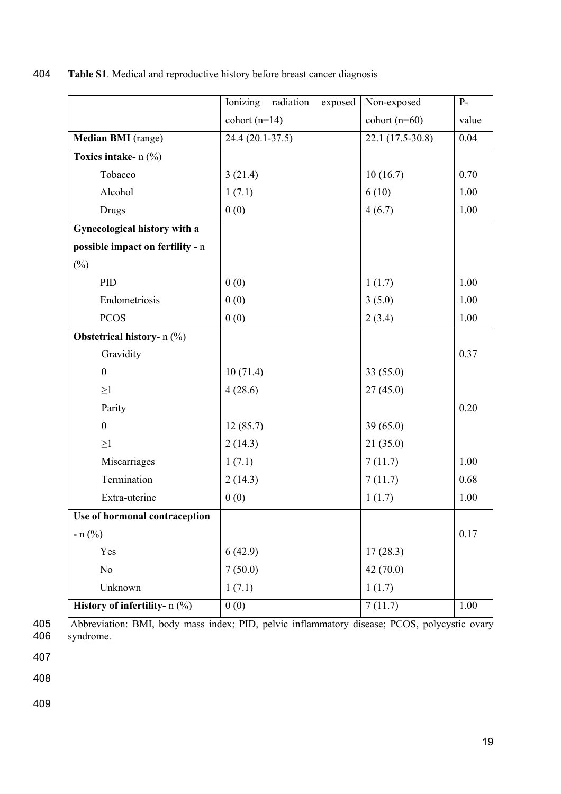404 **Table S1**. Medical and reproductive history before breast cancer diagnosis

|                                   | Ionizing<br>radiation<br>exposed | Non-exposed      | $P-$  |
|-----------------------------------|----------------------------------|------------------|-------|
|                                   | cohort $(n=14)$                  | cohort $(n=60)$  | value |
| Median BMI (range)                | $\overline{24.4}$ (20.1-37.5)    | 22.1 (17.5-30.8) | 0.04  |
| Toxics intake- n (%)              |                                  |                  |       |
| Tobacco                           | 3(21.4)                          | 10(16.7)         | 0.70  |
| Alcohol                           | 1(7.1)                           | 6(10)            | 1.00  |
| Drugs                             | 0(0)                             | 4(6.7)           | 1.00  |
| Gynecological history with a      |                                  |                  |       |
| possible impact on fertility - n  |                                  |                  |       |
| $(\%)$                            |                                  |                  |       |
| PID                               | 0(0)                             | 1(1.7)           | 1.00  |
| Endometriosis                     | 0(0)                             | 3(5.0)           | 1.00  |
| <b>PCOS</b>                       | 0(0)                             | 2(3.4)           | 1.00  |
| <b>Obstetrical history-</b> n (%) |                                  |                  |       |
| Gravidity                         |                                  |                  | 0.37  |
| $\boldsymbol{0}$                  | 10(71.4)                         | 33(55.0)         |       |
| $\geq$ 1                          | 4(28.6)                          | 27(45.0)         |       |
| Parity                            |                                  |                  | 0.20  |
| $\boldsymbol{0}$                  | 12(85.7)                         | 39(65.0)         |       |
| $\geq$ 1                          | 2(14.3)                          | 21(35.0)         |       |
| Miscarriages                      | 1(7.1)                           | 7(11.7)          | 1.00  |
| Termination                       | 2(14.3)                          | 7(11.7)          | 0.68  |
| Extra-uterine                     | 0(0)                             | 1(1.7)           | 1.00  |
| Use of hormonal contraception     |                                  |                  |       |
| $- n$ (%)                         |                                  |                  | 0.17  |
| Yes                               | 6(42.9)                          | 17(28.3)         |       |
| No                                | 7(50.0)                          | 42(70.0)         |       |
| Unknown                           | 1(7.1)                           | 1(1.7)           |       |
| History of infertility- n (%)     | 0(0)                             | 7(11.7)          | 1.00  |

405 Abbreviation: BMI, body mass index; PID, pelvic inflammatory disease; PCOS, polycystic ovary<br>406 syndrome. syndrome.

407

408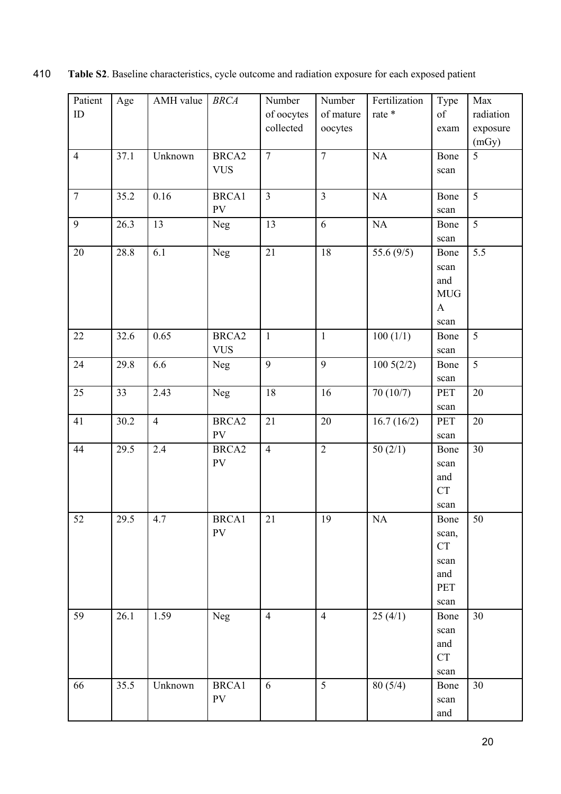| Patient        | $\rm Age$ | AMH value      | <b>BRCA</b>       | Number         | Number         | Fertilization | Type                  | Max       |
|----------------|-----------|----------------|-------------------|----------------|----------------|---------------|-----------------------|-----------|
| ID             |           |                |                   | of oocytes     | of mature      | rate *        | of                    | radiation |
|                |           |                |                   | collected      | oocytes        |               | exam                  | exposure  |
|                |           |                |                   |                |                |               |                       | (mGy)     |
| $\overline{4}$ | 37.1      | Unknown        | BRCA <sub>2</sub> | $\overline{7}$ | $\overline{7}$ | NA            | Bone                  | 5         |
|                |           |                | <b>VUS</b>        |                |                |               | scan                  |           |
|                |           |                |                   |                |                |               |                       |           |
| $\overline{7}$ | 35.2      | 0.16           | <b>BRCA1</b>      | $\overline{3}$ | $\overline{3}$ | NA            | Bone                  | 5         |
|                |           |                | PV                |                |                |               | scan                  |           |
| 9              | 26.3      | 13             | <b>Neg</b>        | 13             | 6              | NA            | Bone                  | 5         |
|                |           |                |                   |                |                |               | scan                  |           |
| 20             | 28.8      | 6.1            | Neg               | 21             | 18             | 55.6 $(9/5)$  | Bone                  | 5.5       |
|                |           |                |                   |                |                |               | scan                  |           |
|                |           |                |                   |                |                |               | and                   |           |
|                |           |                |                   |                |                |               | <b>MUG</b>            |           |
|                |           |                |                   |                |                |               | $\mathbf{A}$          |           |
|                |           |                |                   |                |                |               | scan                  |           |
| 22             | 32.6      | 0.65           | BRCA <sub>2</sub> | $\mathbf{1}$   | $\mathbf 1$    | 100(1/1)      | Bone                  | 5         |
|                |           |                | <b>VUS</b>        |                |                |               | $\operatorname{scan}$ |           |
| 24             | 29.8      | 6.6            | <b>Neg</b>        | 9              | 9              | 1005(2/2)     | Bone                  | 5         |
|                |           |                |                   |                |                |               | scan                  |           |
| 25             | 33        | 2.43           | <b>Neg</b>        | 18             | 16             | 70 (10/7)     | <b>PET</b>            | 20        |
|                |           |                |                   |                |                |               | scan                  |           |
| 41             | 30.2      | $\overline{4}$ | BRCA <sub>2</sub> | 21             | 20             | 16.7(16/2)    | PET                   | 20        |
|                |           |                | ${\rm PV}$        |                |                |               | scan                  |           |
| 44             | 29.5      | 2.4            | BRCA <sub>2</sub> | $\overline{4}$ | $\overline{2}$ | 50(2/1)       | Bone                  | 30        |
|                |           |                | ${\rm PV}$        |                |                |               | scan                  |           |
|                |           |                |                   |                |                |               | and                   |           |
|                |           |                |                   |                |                |               | CT                    |           |
|                |           |                |                   |                |                |               | scan                  |           |
| 52             | 29.5      | 4.7            | BRCA1             | $21\,$         | 19             | $\rm NA$      | Bone                  | 50        |
|                |           |                | ${\rm PV}$        |                |                |               | scan,                 |           |
|                |           |                |                   |                |                |               | CT                    |           |
|                |           |                |                   |                |                |               | scan                  |           |
|                |           |                |                   |                |                |               | and                   |           |
|                |           |                |                   |                |                |               | PET                   |           |
|                |           |                |                   |                |                |               | scan                  |           |
| 59             | 26.1      | 1.59           | Neg               | $\overline{4}$ | $\overline{4}$ | 25(4/1)       | Bone                  | 30        |
|                |           |                |                   |                |                |               | scan                  |           |
|                |           |                |                   |                |                |               | and                   |           |
|                |           |                |                   |                |                |               | <b>CT</b>             |           |
|                |           |                |                   |                |                |               | scan                  |           |
| 66             | 35.5      | Unknown        | <b>BRCA1</b>      | 6              | $\mathfrak{S}$ | 80(5/4)       | Bone                  | 30        |
|                |           |                | PV                |                |                |               | scan                  |           |
|                |           |                |                   |                |                |               | and                   |           |

410 **Table S2**. Baseline characteristics, cycle outcome and radiation exposure for each exposed patient